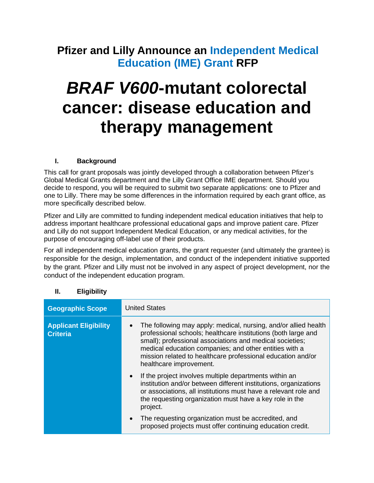# **Pfizer and Lilly Announce an Independent Medical Education (IME) Grant RFP**

# *BRAF V600***-mutant colorectal cancer: disease education and therapy management**

#### **I. Background**

This call for grant proposals was jointly developed through a collaboration between Pfizer's Global Medical Grants department and the Lilly Grant Office IME department. Should you decide to respond, you will be required to submit two separate applications: one to Pfizer and one to Lilly. There may be some differences in the information required by each grant office, as more specifically described below.

Pfizer and Lilly are committed to funding independent medical education initiatives that help to address important healthcare professional educational gaps and improve patient care. Pfizer and Lilly do not support Independent Medical Education, or any medical activities, for the purpose of encouraging off-label use of their products.

For all independent medical education grants, the grant requester (and ultimately the grantee) is responsible for the design, implementation, and conduct of the independent initiative supported by the grant. Pfizer and Lilly must not be involved in any aspect of project development, nor the conduct of the independent education program.

| <b>Geographic Scope</b>                         | <b>United States</b>                                                                                                                                                                                                                                                                                                                             |
|-------------------------------------------------|--------------------------------------------------------------------------------------------------------------------------------------------------------------------------------------------------------------------------------------------------------------------------------------------------------------------------------------------------|
| <b>Applicant Eligibility</b><br><b>Criteria</b> | The following may apply: medical, nursing, and/or allied health<br>professional schools; healthcare institutions (both large and<br>small); professional associations and medical societies;<br>medical education companies; and other entities with a<br>mission related to healthcare professional education and/or<br>healthcare improvement. |
|                                                 | If the project involves multiple departments within an<br>$\bullet$<br>institution and/or between different institutions, organizations<br>or associations, all institutions must have a relevant role and<br>the requesting organization must have a key role in the<br>project.                                                                |
|                                                 | The requesting organization must be accredited, and<br>$\bullet$<br>proposed projects must offer continuing education credit.                                                                                                                                                                                                                    |

#### **II. Eligibility**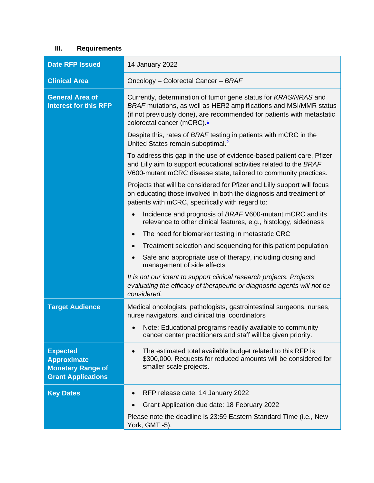# **III. Requirements**

| <b>Date RFP Issued</b>                                                                         | 14 January 2022                                                                                                                                                                                                                                 |
|------------------------------------------------------------------------------------------------|-------------------------------------------------------------------------------------------------------------------------------------------------------------------------------------------------------------------------------------------------|
| <b>Clinical Area</b>                                                                           | Oncology - Colorectal Cancer - BRAF                                                                                                                                                                                                             |
| <b>General Area of</b><br><b>Interest for this RFP</b>                                         | Currently, determination of tumor gene status for KRAS/NRAS and<br>BRAF mutations, as well as HER2 amplifications and MSI/MMR status<br>(if not previously done), are recommended for patients with metastatic<br>colorectal cancer (mCRC). $1$ |
|                                                                                                | Despite this, rates of BRAF testing in patients with mCRC in the<br>United States remain suboptimal. <sup>2</sup>                                                                                                                               |
|                                                                                                | To address this gap in the use of evidence-based patient care, Pfizer<br>and Lilly aim to support educational activities related to the BRAF<br>V600-mutant mCRC disease state, tailored to community practices.                                |
|                                                                                                | Projects that will be considered for Pfizer and Lilly support will focus<br>on educating those involved in both the diagnosis and treatment of<br>patients with mCRC, specifically with regard to:                                              |
|                                                                                                | Incidence and prognosis of BRAF V600-mutant mCRC and its<br>$\bullet$<br>relevance to other clinical features, e.g., histology, sidedness                                                                                                       |
|                                                                                                | The need for biomarker testing in metastatic CRC<br>$\bullet$                                                                                                                                                                                   |
|                                                                                                | Treatment selection and sequencing for this patient population                                                                                                                                                                                  |
|                                                                                                | Safe and appropriate use of therapy, including dosing and<br>management of side effects                                                                                                                                                         |
|                                                                                                | It is not our intent to support clinical research projects. Projects<br>evaluating the efficacy of therapeutic or diagnostic agents will not be<br>considered.                                                                                  |
| <b>Target Audience</b>                                                                         | Medical oncologists, pathologists, gastrointestinal surgeons, nurses,<br>nurse navigators, and clinical trial coordinators                                                                                                                      |
|                                                                                                | Note: Educational programs readily available to community<br>$\bullet$<br>cancer center practitioners and staff will be given priority.                                                                                                         |
| <b>Expected</b><br><b>Approximate</b><br><b>Monetary Range of</b><br><b>Grant Applications</b> | The estimated total available budget related to this RFP is<br>\$300,000. Requests for reduced amounts will be considered for<br>smaller scale projects.                                                                                        |
| <b>Key Dates</b>                                                                               | RFP release date: 14 January 2022                                                                                                                                                                                                               |
|                                                                                                | Grant Application due date: 18 February 2022                                                                                                                                                                                                    |
|                                                                                                | Please note the deadline is 23:59 Eastern Standard Time (i.e., New<br>York, GMT -5).                                                                                                                                                            |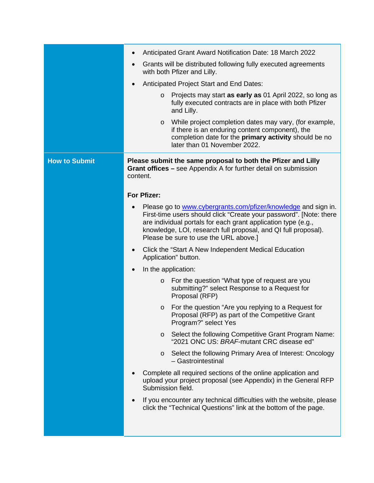|                      | Anticipated Grant Award Notification Date: 18 March 2022<br>$\bullet$                                                                                                                                                                                                                                                         |
|----------------------|-------------------------------------------------------------------------------------------------------------------------------------------------------------------------------------------------------------------------------------------------------------------------------------------------------------------------------|
|                      | Grants will be distributed following fully executed agreements<br>$\bullet$<br>with both Pfizer and Lilly.                                                                                                                                                                                                                    |
|                      | Anticipated Project Start and End Dates:<br>$\bullet$                                                                                                                                                                                                                                                                         |
|                      | Projects may start as early as 01 April 2022, so long as<br>$\circ$<br>fully executed contracts are in place with both Pfizer<br>and Lilly.                                                                                                                                                                                   |
|                      | While project completion dates may vary, (for example,<br>$\circ$<br>if there is an enduring content component), the<br>completion date for the primary activity should be no<br>later than 01 November 2022.                                                                                                                 |
| <b>How to Submit</b> | Please submit the same proposal to both the Pfizer and Lilly<br>Grant offices – see Appendix A for further detail on submission<br>content.                                                                                                                                                                                   |
|                      | For Pfizer:                                                                                                                                                                                                                                                                                                                   |
|                      | Please go to www.cybergrants.com/pfizer/knowledge and sign in.<br>$\bullet$<br>First-time users should click "Create your password". [Note: there<br>are individual portals for each grant application type (e.g.,<br>knowledge, LOI, research full proposal, and QI full proposal).<br>Please be sure to use the URL above.] |
|                      | Click the "Start A New Independent Medical Education<br>$\bullet$<br>Application" button.                                                                                                                                                                                                                                     |
|                      | In the application:<br>$\bullet$                                                                                                                                                                                                                                                                                              |
|                      | For the question "What type of request are you<br>$\circ$<br>submitting?" select Response to a Request for<br>Proposal (RFP)                                                                                                                                                                                                  |
|                      | For the question "Are you replying to a Request for<br>$\circ$<br>Proposal (RFP) as part of the Competitive Grant<br>Program?" select Yes                                                                                                                                                                                     |
|                      | Select the following Competitive Grant Program Name:<br>$\circ$<br>"2021 ONC US: BRAF-mutant CRC disease ed"                                                                                                                                                                                                                  |
|                      | Select the following Primary Area of Interest: Oncology<br>$\circ$<br>- Gastrointestinal                                                                                                                                                                                                                                      |
|                      | Complete all required sections of the online application and<br>upload your project proposal (see Appendix) in the General RFP<br>Submission field.                                                                                                                                                                           |
|                      | If you encounter any technical difficulties with the website, please<br>click the "Technical Questions" link at the bottom of the page.                                                                                                                                                                                       |
|                      |                                                                                                                                                                                                                                                                                                                               |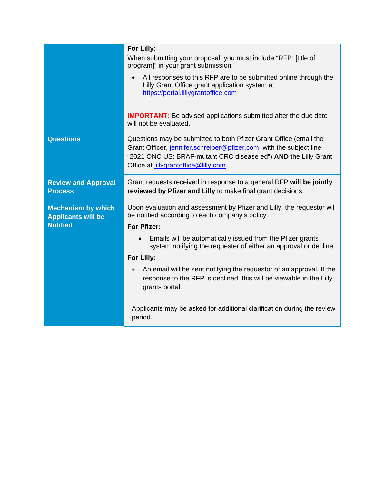|                                                                           | For Lilly:                                                                                                                                                                                                                                          |
|---------------------------------------------------------------------------|-----------------------------------------------------------------------------------------------------------------------------------------------------------------------------------------------------------------------------------------------------|
|                                                                           | When submitting your proposal, you must include "RFP: [title of<br>program]" in your grant submission.                                                                                                                                              |
|                                                                           | All responses to this RFP are to be submitted online through the<br>Lilly Grant Office grant application system at<br>https://portal.lillygrantoffice.com                                                                                           |
|                                                                           | <b>IMPORTANT:</b> Be advised applications submitted after the due date<br>will not be evaluated.                                                                                                                                                    |
| <b>Questions</b>                                                          | Questions may be submitted to both Pfizer Grant Office (email the<br>Grant Officer, jennifer.schreiber@pfizer.com, with the subject line<br>"2021 ONC US: BRAF-mutant CRC disease ed") AND the Lilly Grant<br>Office at lillygrantoffice@lilly.com. |
| <b>Review and Approval</b><br><b>Process</b>                              | Grant requests received in response to a general RFP will be jointly<br>reviewed by Pfizer and Lilly to make final grant decisions.                                                                                                                 |
| <b>Mechanism by which</b><br><b>Applicants will be</b><br><b>Notified</b> | Upon evaluation and assessment by Pfizer and Lilly, the requestor will<br>be notified according to each company's policy:<br>For Pfizer:                                                                                                            |
|                                                                           | Emails will be automatically issued from the Pfizer grants<br>system notifying the requester of either an approval or decline.<br>For Lilly:                                                                                                        |
|                                                                           | An email will be sent notifying the requestor of an approval. If the<br>response to the RFP is declined, this will be viewable in the Lilly<br>grants portal.                                                                                       |
|                                                                           | Applicants may be asked for additional clarification during the review<br>period.                                                                                                                                                                   |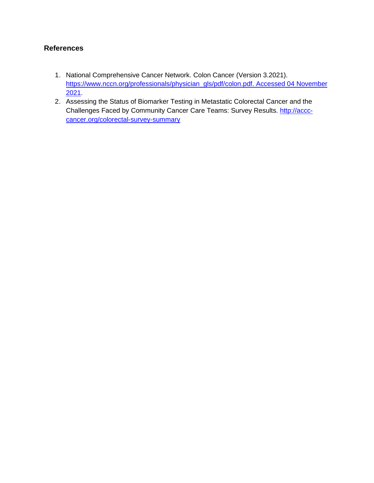# **References**

- 1. National Comprehensive Cancer Network. Colon Cancer (Version 3.2021). [https://www.nccn.org/professionals/physician\\_gls/pdf/colon.pdf. Accessed](https://www.nccn.org/professionals/physician_gls/pdf/colon.pdf.%20Accessed%2004%20November%202021) 04 November [2021.](https://www.nccn.org/professionals/physician_gls/pdf/colon.pdf.%20Accessed%2004%20November%202021)
- 2. Assessing the Status of Biomarker Testing in Metastatic Colorectal Cancer and the Challenges Faced by Community Cancer Care Teams: Survey Results. [http://accc](http://accc-cancer.org/colorectal-survey-summary)[cancer.org/colorectal-survey-summary](http://accc-cancer.org/colorectal-survey-summary)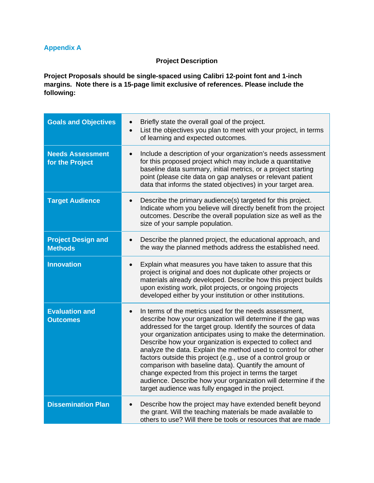### **Appendix A**

#### **Project Description**

**Project Proposals should be single-spaced using Calibri 12-point font and 1-inch margins. Note there is a 15-page limit exclusive of references. Please include the following:**

| <b>Goals and Objectives</b>                 | Briefly state the overall goal of the project.<br>$\bullet$<br>List the objectives you plan to meet with your project, in terms<br>of learning and expected outcomes.                                                                                                                                                                                                                                                                                                                                                                                                                                                                                                                              |
|---------------------------------------------|----------------------------------------------------------------------------------------------------------------------------------------------------------------------------------------------------------------------------------------------------------------------------------------------------------------------------------------------------------------------------------------------------------------------------------------------------------------------------------------------------------------------------------------------------------------------------------------------------------------------------------------------------------------------------------------------------|
| <b>Needs Assessment</b><br>for the Project  | Include a description of your organization's needs assessment<br>for this proposed project which may include a quantitative<br>baseline data summary, initial metrics, or a project starting<br>point (please cite data on gap analyses or relevant patient<br>data that informs the stated objectives) in your target area.                                                                                                                                                                                                                                                                                                                                                                       |
| <b>Target Audience</b>                      | Describe the primary audience(s) targeted for this project.<br>Indicate whom you believe will directly benefit from the project<br>outcomes. Describe the overall population size as well as the<br>size of your sample population.                                                                                                                                                                                                                                                                                                                                                                                                                                                                |
| <b>Project Design and</b><br><b>Methods</b> | Describe the planned project, the educational approach, and<br>the way the planned methods address the established need.                                                                                                                                                                                                                                                                                                                                                                                                                                                                                                                                                                           |
| <b>Innovation</b>                           | Explain what measures you have taken to assure that this<br>project is original and does not duplicate other projects or<br>materials already developed. Describe how this project builds<br>upon existing work, pilot projects, or ongoing projects<br>developed either by your institution or other institutions.                                                                                                                                                                                                                                                                                                                                                                                |
| <b>Evaluation and</b><br><b>Outcomes</b>    | In terms of the metrics used for the needs assessment,<br>describe how your organization will determine if the gap was<br>addressed for the target group. Identify the sources of data<br>your organization anticipates using to make the determination.<br>Describe how your organization is expected to collect and<br>analyze the data. Explain the method used to control for other<br>factors outside this project (e.g., use of a control group or<br>comparison with baseline data). Quantify the amount of<br>change expected from this project in terms the target<br>audience. Describe how your organization will determine if the<br>target audience was fully engaged in the project. |
| <b>Dissemination Plan</b>                   | Describe how the project may have extended benefit beyond<br>the grant. Will the teaching materials be made available to<br>others to use? Will there be tools or resources that are made                                                                                                                                                                                                                                                                                                                                                                                                                                                                                                          |